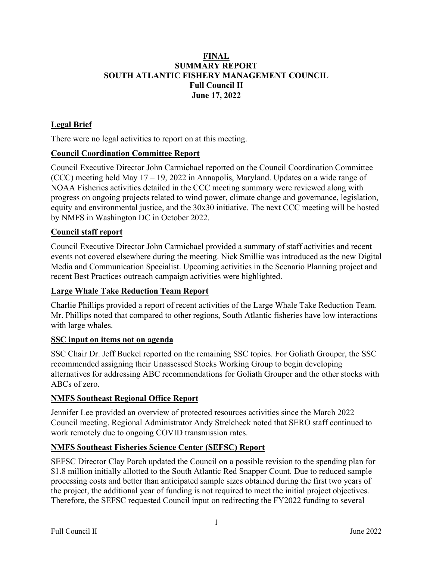## **FINAL SUMMARY REPORT SOUTH ATLANTIC FISHERY MANAGEMENT COUNCIL Full Council II June 17, 2022**

## **Legal Brief**

There were no legal activities to report on at this meeting.

### **Council Coordination Committee Report**

Council Executive Director John Carmichael reported on the Council Coordination Committee (CCC) meeting held May 17 – 19, 2022 in Annapolis, Maryland. Updates on a wide range of NOAA Fisheries activities detailed in the CCC meeting summary were reviewed along with progress on ongoing projects related to wind power, climate change and governance, legislation, equity and environmental justice, and the 30x30 initiative. The next CCC meeting will be hosted by NMFS in Washington DC in October 2022.

### **Council staff report**

Council Executive Director John Carmichael provided a summary of staff activities and recent events not covered elsewhere during the meeting. Nick Smillie was introduced as the new Digital Media and Communication Specialist. Upcoming activities in the Scenario Planning project and recent Best Practices outreach campaign activities were highlighted.

#### **Large Whale Take Reduction Team Report**

Charlie Phillips provided a report of recent activities of the Large Whale Take Reduction Team. Mr. Phillips noted that compared to other regions, South Atlantic fisheries have low interactions with large whales.

#### **SSC input on items not on agenda**

SSC Chair Dr. Jeff Buckel reported on the remaining SSC topics. For Goliath Grouper, the SSC recommended assigning their Unassessed Stocks Working Group to begin developing alternatives for addressing ABC recommendations for Goliath Grouper and the other stocks with ABCs of zero.

### **NMFS Southeast Regional Office Report**

Jennifer Lee provided an overview of protected resources activities since the March 2022 Council meeting. Regional Administrator Andy Strelcheck noted that SERO staff continued to work remotely due to ongoing COVID transmission rates.

### **NMFS Southeast Fisheries Science Center (SEFSC) Report**

SEFSC Director Clay Porch updated the Council on a possible revision to the spending plan for \$1.8 million initially allotted to the South Atlantic Red Snapper Count. Due to reduced sample processing costs and better than anticipated sample sizes obtained during the first two years of the project, the additional year of funding is not required to meet the initial project objectives. Therefore, the SEFSC requested Council input on redirecting the FY2022 funding to several